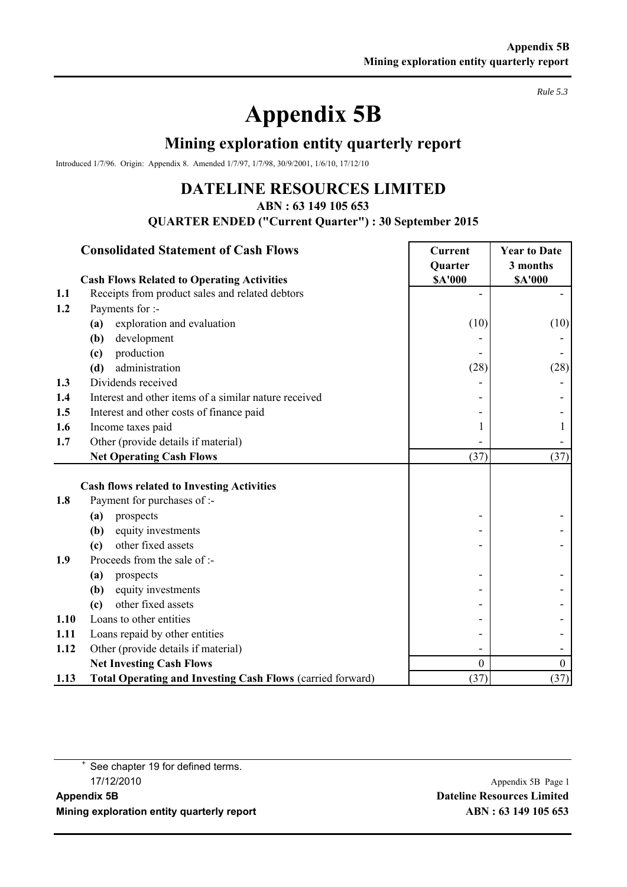# **Appendix 5B**

### **Mining exploration entity quarterly report**

Introduced 1/7/96. Origin: Appendix 8. Amended 1/7/97, 1/7/98, 30/9/2001, 1/6/10, 17/12/10

## **DATELINE RESOURCES LIMITED**

**ABN : 63 149 105 653**

**QUARTER ENDED ("Current Quarter") : 30 September 2015**

#### **Consolidated Statement of Cash Flows Current Vear to Date**

|      | <b>Cash Flows Related to Operating Activities</b>          | <b>Quarter</b><br><b>\$A'000</b> | 3 months<br><b>\$A'000</b> |
|------|------------------------------------------------------------|----------------------------------|----------------------------|
| 1.1  | Receipts from product sales and related debtors            |                                  |                            |
| 1.2  | Payments for :-                                            |                                  |                            |
|      | exploration and evaluation<br>(a)                          | (10)                             | (10)                       |
|      | (b)<br>development                                         |                                  |                            |
|      | production<br>(c)                                          |                                  |                            |
|      | administration<br>(d)                                      | (28)                             | (28)                       |
| 1.3  | Dividends received                                         |                                  |                            |
| 1.4  | Interest and other items of a similar nature received      |                                  |                            |
| 1.5  | Interest and other costs of finance paid                   |                                  |                            |
| 1.6  | Income taxes paid                                          |                                  |                            |
| 1.7  | Other (provide details if material)                        |                                  |                            |
|      | <b>Net Operating Cash Flows</b>                            | (37)                             | (37)                       |
|      | <b>Cash flows related to Investing Activities</b>          |                                  |                            |
| 1.8  | Payment for purchases of :-                                |                                  |                            |
|      | prospects<br>(a)                                           |                                  |                            |
|      | equity investments<br>(b)                                  |                                  |                            |
|      | other fixed assets<br>(c)                                  |                                  |                            |
| 1.9  | Proceeds from the sale of :-                               |                                  |                            |
|      | prospects<br>(a)                                           |                                  |                            |
|      | equity investments<br>(b)                                  |                                  |                            |
|      | other fixed assets<br>(c)                                  |                                  |                            |
| 1.10 | Loans to other entities                                    |                                  |                            |
| 1.11 | Loans repaid by other entities                             |                                  |                            |
| 1.12 | Other (provide details if material)                        |                                  |                            |
|      | <b>Net Investing Cash Flows</b>                            | $\boldsymbol{0}$                 | $\boldsymbol{0}$           |
| 1.13 | Total Operating and Investing Cash Flows (carried forward) | (37)                             | (37)                       |

<sup>+</sup> See chapter 19 for defined terms. 17/12/2010 Appendix 5B Page 1

*Rule 5.3*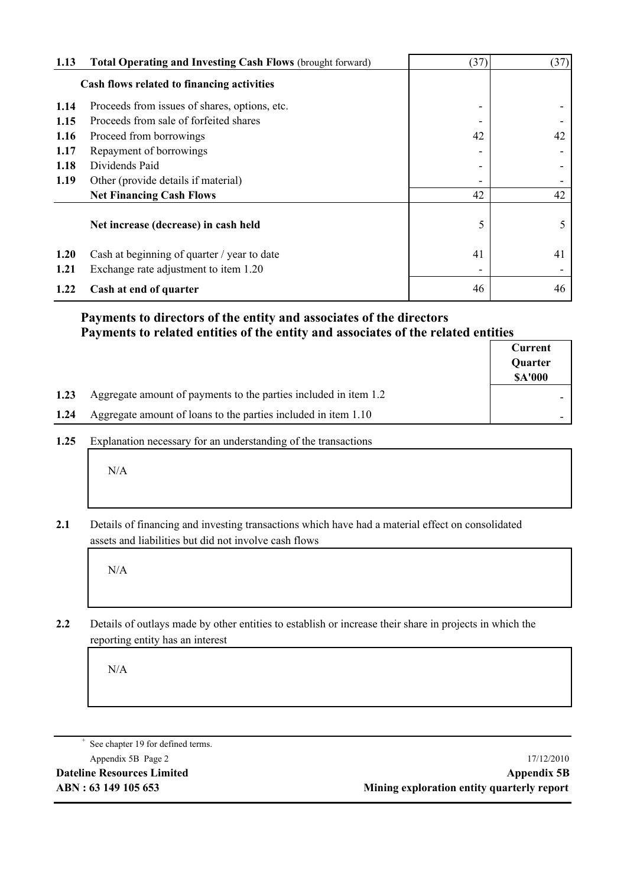| 1.13 | <b>Total Operating and Investing Cash Flows (brought forward)</b> | (37) | (37) |
|------|-------------------------------------------------------------------|------|------|
|      | Cash flows related to financing activities                        |      |      |
| 1.14 | Proceeds from issues of shares, options, etc.                     |      |      |
| 1.15 | Proceeds from sale of forfeited shares                            |      |      |
| 1.16 | Proceed from borrowings                                           | 42   | 42   |
| 1.17 | Repayment of borrowings                                           |      |      |
| 1.18 | Dividends Paid                                                    |      |      |
| 1.19 | Other (provide details if material)                               |      |      |
|      | <b>Net Financing Cash Flows</b>                                   | 42   | 42   |
|      | Net increase (decrease) in cash held                              | 5    | 5    |
| 1.20 | Cash at beginning of quarter / year to date                       | 41   | 41   |
| 1.21 | Exchange rate adjustment to item 1.20                             |      |      |
| 1.22 | Cash at end of quarter                                            | 46   | 46   |

#### **Payments to directors of the entity and associates of the directors Payments to related entities of the entity and associates of the related entities**

|      |                                                                  | Current<br>Quarter<br><b>SA'000</b> |
|------|------------------------------------------------------------------|-------------------------------------|
| 1.23 | Aggregate amount of payments to the parties included in item 1.2 |                                     |
| 1.24 | Aggregate amount of loans to the parties included in item 1.10   |                                     |

**1.25** Explanation necessary for an understanding of the transactions

N/A

**2.1** Details of financing and investing transactions which have had a material effect on consolidated assets and liabilities but did not involve cash flows

N/A

**2.2** Details of outlays made by other entities to establish or increase their share in projects in which the reporting entity has an interest

N/A

See chapter 19 for defined terms.

Appendix 5B Page 2 17/12/2010 **Dateline Resources Limited Appendix 5B ABN : 63 149 105 653 Mining exploration entity quarterly report**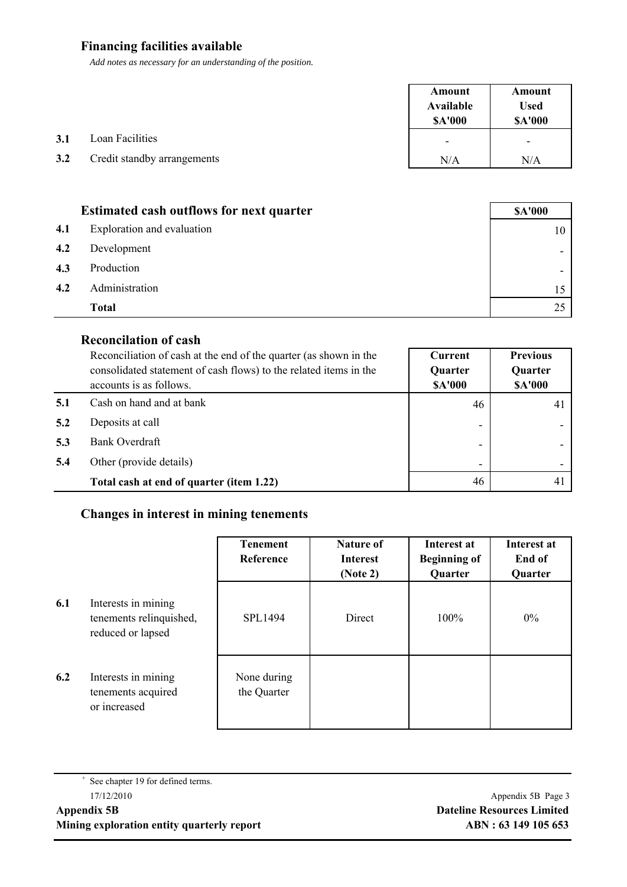#### **Financing facilities available**

*Add notes as necessary for an understanding of the position.*

|     |                             | Amount<br>Available<br><b>SA'000</b> | Amount<br><b>Used</b><br><b>\$A'000</b> |
|-----|-----------------------------|--------------------------------------|-----------------------------------------|
| 3.1 | Loan Facilities             | $\overline{\phantom{a}}$             | $\overline{\phantom{a}}$                |
| 3.2 | Credit standby arrangements | N/A                                  | N/A                                     |

|     | <b>Estimated cash outflows for next quarter</b> | <b>\$A'000</b> |
|-----|-------------------------------------------------|----------------|
| 4.1 | Exploration and evaluation                      |                |
| 4.2 | Development                                     |                |
| 4.3 | Production                                      |                |
| 4.2 | Administration                                  |                |
|     | <b>Total</b>                                    |                |

#### **Reconcilation of cash**

|     | Reconciliation of cash at the end of the quarter (as shown in the<br>consolidated statement of cash flows) to the related items in the<br>accounts is as follows. | Current<br><b>Quarter</b><br><b>\$A'000</b> | <b>Previous</b><br><b>Quarter</b><br><b>\$A'000</b> |
|-----|-------------------------------------------------------------------------------------------------------------------------------------------------------------------|---------------------------------------------|-----------------------------------------------------|
|     | Cash on hand and at bank                                                                                                                                          | 46                                          | 41                                                  |
| 5.2 | Deposits at call                                                                                                                                                  | -                                           |                                                     |
| 5.3 | Bank Overdraft                                                                                                                                                    | -                                           |                                                     |
| 5.4 | Other (provide details)                                                                                                                                           | -                                           |                                                     |
|     | Total cash at end of quarter (item 1.22)                                                                                                                          | 46                                          | $\overline{4}$                                      |

#### **Changes in interest in mining tenements**

|     |                                                                     | <b>Tenement</b><br>Reference | Nature of<br><b>Interest</b><br>(Note 2) | Interest at<br><b>Beginning of</b><br>Quarter | Interest at<br>End of<br>Quarter |
|-----|---------------------------------------------------------------------|------------------------------|------------------------------------------|-----------------------------------------------|----------------------------------|
| 6.1 | Interests in mining<br>tenements relinquished,<br>reduced or lapsed | SPL1494                      | Direct                                   | 100%                                          | $0\%$                            |
| 6.2 | Interests in mining<br>tenements acquired<br>or increased           | None during<br>the Quarter   |                                          |                                               |                                  |

<sup>+</sup> See chapter 19 for defined terms.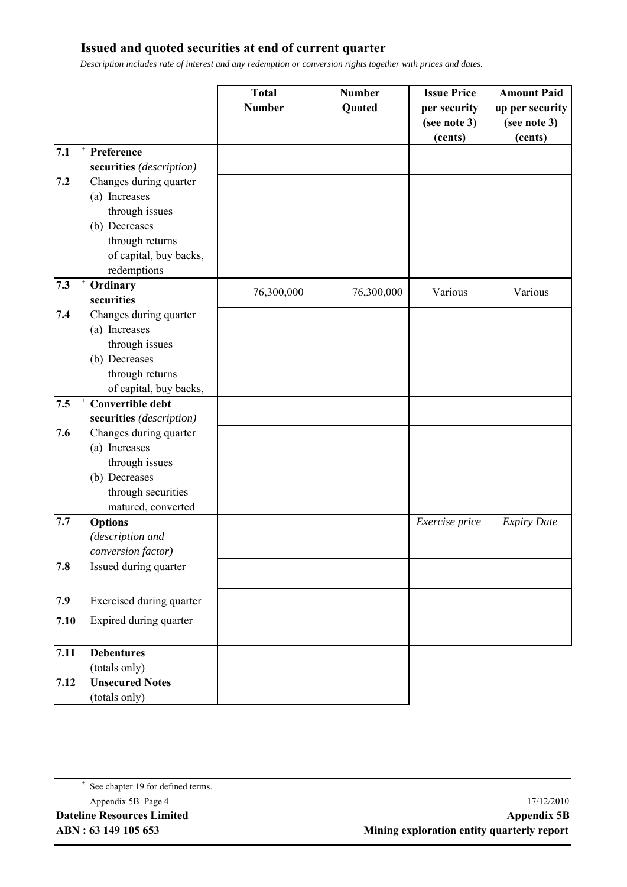#### **Issued and quoted securities at end of current quarter**

*Description includes rate of interest and any redemption or conversion rights together with prices and dates.*

|      |                          | <b>Total</b><br><b>Number</b> | <b>Number</b><br>Quoted | <b>Issue Price</b><br>per security<br>(see note 3)<br>(cents) | <b>Amount Paid</b><br>up per security<br>(see note 3)<br>(cents) |
|------|--------------------------|-------------------------------|-------------------------|---------------------------------------------------------------|------------------------------------------------------------------|
| 7.1  | Preference               |                               |                         |                                                               |                                                                  |
|      | securities (description) |                               |                         |                                                               |                                                                  |
| 7.2  | Changes during quarter   |                               |                         |                                                               |                                                                  |
|      | (a) Increases            |                               |                         |                                                               |                                                                  |
|      | through issues           |                               |                         |                                                               |                                                                  |
|      | (b) Decreases            |                               |                         |                                                               |                                                                  |
|      | through returns          |                               |                         |                                                               |                                                                  |
|      | of capital, buy backs,   |                               |                         |                                                               |                                                                  |
|      | redemptions              |                               |                         |                                                               |                                                                  |
| 7.3  | Ordinary<br>securities   | 76,300,000                    | 76,300,000              | Various                                                       | Various                                                          |
| 7.4  | Changes during quarter   |                               |                         |                                                               |                                                                  |
|      | (a) Increases            |                               |                         |                                                               |                                                                  |
|      | through issues           |                               |                         |                                                               |                                                                  |
|      | (b) Decreases            |                               |                         |                                                               |                                                                  |
|      | through returns          |                               |                         |                                                               |                                                                  |
|      | of capital, buy backs,   |                               |                         |                                                               |                                                                  |
| 7.5  | <b>Convertible debt</b>  |                               |                         |                                                               |                                                                  |
|      | securities (description) |                               |                         |                                                               |                                                                  |
| 7.6  | Changes during quarter   |                               |                         |                                                               |                                                                  |
|      | (a) Increases            |                               |                         |                                                               |                                                                  |
|      | through issues           |                               |                         |                                                               |                                                                  |
|      | (b) Decreases            |                               |                         |                                                               |                                                                  |
|      | through securities       |                               |                         |                                                               |                                                                  |
|      | matured, converted       |                               |                         |                                                               |                                                                  |
| 7.7  | <b>Options</b>           |                               |                         | Exercise price                                                | <b>Expiry Date</b>                                               |
|      | (description and         |                               |                         |                                                               |                                                                  |
|      | conversion factor)       |                               |                         |                                                               |                                                                  |
| 7.8  | Issued during quarter    |                               |                         |                                                               |                                                                  |
| 7.9  | Exercised during quarter |                               |                         |                                                               |                                                                  |
| 7.10 | Expired during quarter   |                               |                         |                                                               |                                                                  |
| 7.11 | <b>Debentures</b>        |                               |                         |                                                               |                                                                  |
|      | (totals only)            |                               |                         |                                                               |                                                                  |
| 7.12 | <b>Unsecured Notes</b>   |                               |                         |                                                               |                                                                  |
|      | (totals only)            |                               |                         |                                                               |                                                                  |